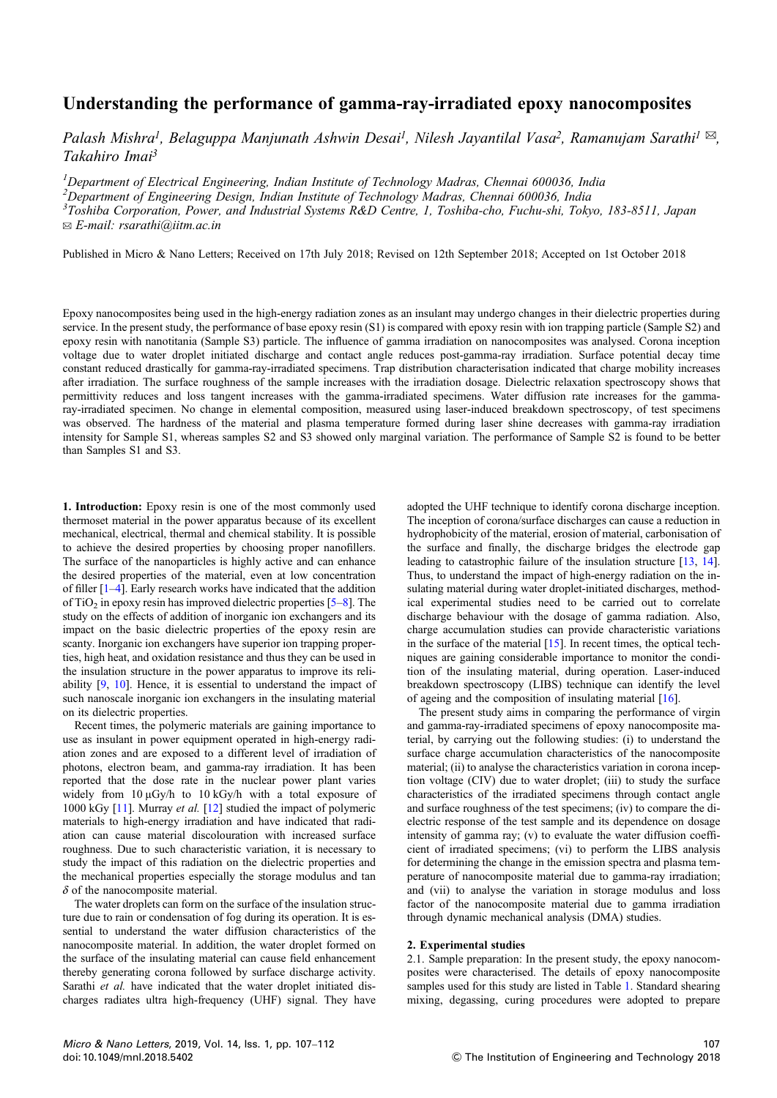# Understanding the performance of gamma-ray-irradiated epoxy nanocomposites

*Palash Mishra<sup>1</sup> , Belaguppa Manjunath Ashwin Desai<sup>1</sup> , Nilesh Jayantilal Vasa<sup>2</sup> , Ramanujam Sarathi<sup>1</sup>* ✉*, Takahiro Imai<sup>3</sup>*

*Department of Electrical Engineering, Indian Institute of Technology Madras, Chennai 600036, India Department of Engineering Design, Indian Institute of Technology Madras, Chennai 600036, India Toshiba Corporation, Power, and Industrial Systems R&D Centre, 1, Toshiba-cho, Fuchu-shi, Tokyo, 183-8511, Japan* ✉ *E-mail: rsarathi@iitm.ac.in*

Published in Micro & Nano Letters; Received on 17th July 2018; Revised on 12th September 2018; Accepted on 1st October 2018

Epoxy nanocomposites being used in the high-energy radiation zones as an insulant may undergo changes in their dielectric properties during service. In the present study, the performance of base epoxy resin (S1) is compared with epoxy resin with ion trapping particle (Sample S2) and epoxy resin with nanotitania (Sample S3) particle. The influence of gamma irradiation on nanocomposites was analysed. Corona inception voltage due to water droplet initiated discharge and contact angle reduces post-gamma-ray irradiation. Surface potential decay time constant reduced drastically for gamma-ray-irradiated specimens. Trap distribution characterisation indicated that charge mobility increases after irradiation. The surface roughness of the sample increases with the irradiation dosage. Dielectric relaxation spectroscopy shows that permittivity reduces and loss tangent increases with the gamma-irradiated specimens. Water diffusion rate increases for the gammaray-irradiated specimen. No change in elemental composition, measured using laser-induced breakdown spectroscopy, of test specimens was observed. The hardness of the material and plasma temperature formed during laser shine decreases with gamma-ray irradiation intensity for Sample S1, whereas samples S2 and S3 showed only marginal variation. The performance of Sample S2 is found to be better than Samples S1 and S3.

1. Introduction: Epoxy resin is one of the most commonly used thermoset material in the power apparatus because of its excellent mechanical, electrical, thermal and chemical stability. It is possible to achieve the desired properties by choosing proper nanofillers. The surface of the nanoparticles is highly active and can enhance the desired properties of the material, even at low concentration of filler [1–4]. Early research works have indicated that the addition of TiO<sub>2</sub> in epoxy resin has improved dielectric properties [5–8]. The study on the effects of addition of inorganic ion exchangers and its impact on the basic dielectric properties of the epoxy resin are scanty. Inorganic ion exchangers have superior ion trapping properties, high heat, and oxidation resistance and thus they can be used in the insulation structure in the power apparatus to improve its reliability [9, 10]. Hence, it is essential to understand the impact of such nanoscale inorganic ion exchangers in the insulating material on its dielectric properties.

Recent times, the polymeric materials are gaining importance to use as insulant in power equipment operated in high-energy radiation zones and are exposed to a different level of irradiation of photons, electron beam, and gamma-ray irradiation. It has been reported that the dose rate in the nuclear power plant varies widely from 10  $\mu$ Gy/h to 10 kGy/h with a total exposure of 1000 kGy [11]. Murray *et al.* [12] studied the impact of polymeric materials to high-energy irradiation and have indicated that radiation can cause material discolouration with increased surface roughness. Due to such characteristic variation, it is necessary to study the impact of this radiation on the dielectric properties and the mechanical properties especially the storage modulus and tan  $\delta$  of the nanocomposite material.

The water droplets can form on the surface of the insulation structure due to rain or condensation of fog during its operation. It is essential to understand the water diffusion characteristics of the nanocomposite material. In addition, the water droplet formed on the surface of the insulating material can cause field enhancement thereby generating corona followed by surface discharge activity. Sarathi *et al.* have indicated that the water droplet initiated discharges radiates ultra high-frequency (UHF) signal. They have adopted the UHF technique to identify corona discharge inception. The inception of corona/surface discharges can cause a reduction in hydrophobicity of the material, erosion of material, carbonisation of the surface and finally, the discharge bridges the electrode gap leading to catastrophic failure of the insulation structure [13, 14]. Thus, to understand the impact of high-energy radiation on the insulating material during water droplet-initiated discharges, methodical experimental studies need to be carried out to correlate discharge behaviour with the dosage of gamma radiation. Also, charge accumulation studies can provide characteristic variations in the surface of the material  $[15]$ . In recent times, the optical techniques are gaining considerable importance to monitor the condition of the insulating material, during operation. Laser-induced breakdown spectroscopy (LIBS) technique can identify the level of ageing and the composition of insulating material [16].

The present study aims in comparing the performance of virgin and gamma-ray-irradiated specimens of epoxy nanocomposite material, by carrying out the following studies: (i) to understand the surface charge accumulation characteristics of the nanocomposite material; (ii) to analyse the characteristics variation in corona inception voltage (CIV) due to water droplet; (iii) to study the surface characteristics of the irradiated specimens through contact angle and surface roughness of the test specimens; (iv) to compare the dielectric response of the test sample and its dependence on dosage intensity of gamma ray; (v) to evaluate the water diffusion coefficient of irradiated specimens; (vi) to perform the LIBS analysis for determining the change in the emission spectra and plasma temperature of nanocomposite material due to gamma-ray irradiation; and (vii) to analyse the variation in storage modulus and loss factor of the nanocomposite material due to gamma irradiation through dynamic mechanical analysis (DMA) studies.

### 2. Experimental studies

2.1. Sample preparation: In the present study, the epoxy nanocomposites were characterised. The details of epoxy nanocomposite samples used for this study are listed in Table 1. Standard shearing mixing, degassing, curing procedures were adopted to prepare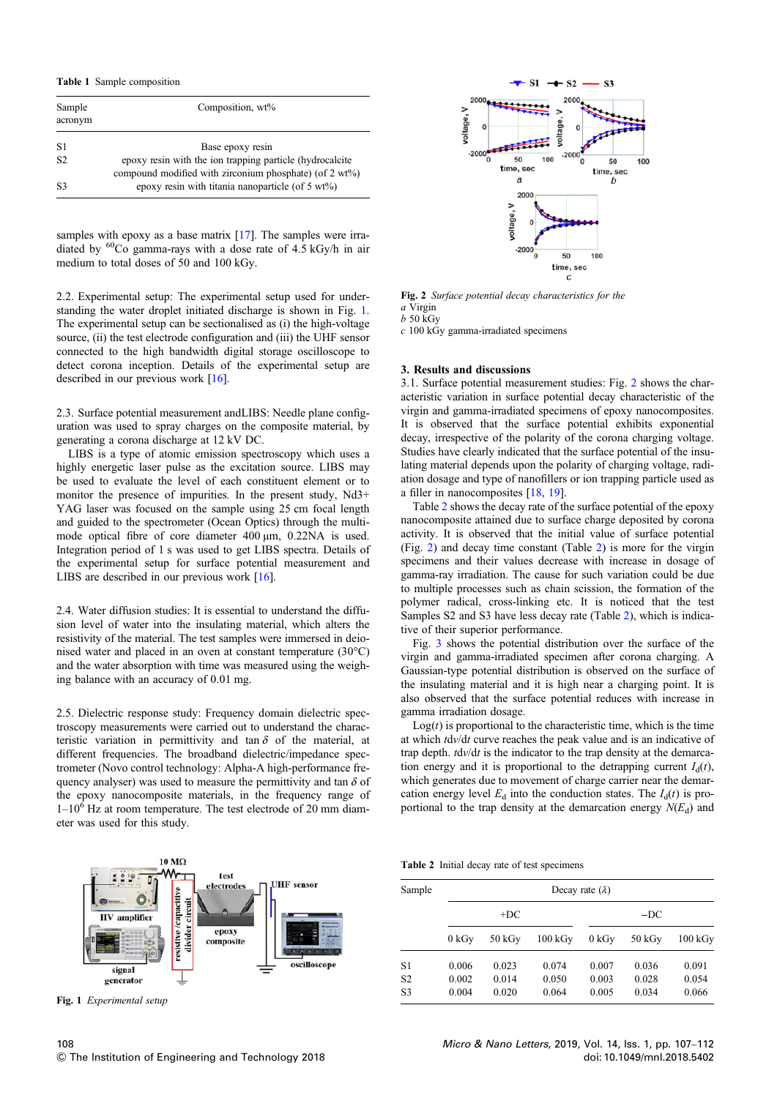### Table 1 Sample composition

| Sample<br>acronym | Composition, wt%                                             |
|-------------------|--------------------------------------------------------------|
| S1                | Base epoxy resin                                             |
| S <sub>2</sub>    | epoxy resin with the ion trapping particle (hydrocalcite)    |
|                   | compound modified with zirconium phosphate) (of 2 wt%)       |
| S <sub>3</sub>    | epoxy resin with titania nanoparticle (of $5 \text{ wt\%}$ ) |

samples with epoxy as a base matrix [17]. The samples were irradiated by  ${}^{60}Co$  gamma-rays with a dose rate of 4.5 kGy/h in air medium to total doses of 50 and 100 kGy.

2.2. Experimental setup: The experimental setup used for understanding the water droplet initiated discharge is shown in Fig. 1. The experimental setup can be sectionalised as (i) the high-voltage source, (ii) the test electrode configuration and (iii) the UHF sensor connected to the high bandwidth digital storage oscilloscope to detect corona inception. Details of the experimental setup are described in our previous work [16].

2.3. Surface potential measurement andLIBS: Needle plane configuration was used to spray charges on the composite material, by generating a corona discharge at 12 kV DC.

LIBS is a type of atomic emission spectroscopy which uses a highly energetic laser pulse as the excitation source. LIBS may be used to evaluate the level of each constituent element or to monitor the presence of impurities. In the present study, Nd3+ YAG laser was focused on the sample using 25 cm focal length and guided to the spectrometer (Ocean Optics) through the multimode optical fibre of core diameter 400 µm, 0.22NA is used. Integration period of 1 s was used to get LIBS spectra. Details of the experimental setup for surface potential measurement and LIBS are described in our previous work [16].

2.4. Water diffusion studies: It is essential to understand the diffusion level of water into the insulating material, which alters the resistivity of the material. The test samples were immersed in deionised water and placed in an oven at constant temperature (30°C) and the water absorption with time was measured using the weighing balance with an accuracy of 0.01 mg.

2.5. Dielectric response study: Frequency domain dielectric spectroscopy measurements were carried out to understand the characteristic variation in permittivity and tan  $\delta$  of the material, at different frequencies. The broadband dielectric/impedance spectrometer (Novo control technology: Alpha-A high-performance frequency analyser) was used to measure the permittivity and tan  $\delta$  of the epoxy nanocomposite materials, in the frequency range of  $1-10^6$  Hz at room temperature. The test electrode of 20 mm diameter was used for this study.



Fig. 1 *Experimental setup*



Fig. 2 *Surface potential decay characteristics for the a* Virgin

*b* 50 kGy

*c* 100 kGy gamma-irradiated specimens

#### 3. Results and discussions

3.1. Surface potential measurement studies: Fig. 2 shows the characteristic variation in surface potential decay characteristic of the virgin and gamma-irradiated specimens of epoxy nanocomposites. It is observed that the surface potential exhibits exponential decay, irrespective of the polarity of the corona charging voltage. Studies have clearly indicated that the surface potential of the insulating material depends upon the polarity of charging voltage, radiation dosage and type of nanofillers or ion trapping particle used as a filler in nanocomposites [18, 19].

Table 2 shows the decay rate of the surface potential of the epoxy nanocomposite attained due to surface charge deposited by corona activity. It is observed that the initial value of surface potential (Fig. 2) and decay time constant (Table 2) is more for the virgin specimens and their values decrease with increase in dosage of gamma-ray irradiation. The cause for such variation could be due to multiple processes such as chain scission, the formation of the polymer radical, cross-linking etc. It is noticed that the test Samples S2 and S3 have less decay rate (Table 2), which is indicative of their superior performance.

Fig. 3 shows the potential distribution over the surface of the virgin and gamma-irradiated specimen after corona charging. A Gaussian-type potential distribution is observed on the surface of the insulating material and it is high near a charging point. It is also observed that the surface potential reduces with increase in gamma irradiation dosage.

 $Log(t)$  is proportional to the characteristic time, which is the time at which *t*d*v*/d*t* curve reaches the peak value and is an indicative of trap depth. *t*d*v*/d*t* is the indicator to the trap density at the demarcation energy and it is proportional to the detrapping current  $I_d(t)$ , which generates due to movement of charge carrier near the demarcation energy level  $E_d$  into the conduction states. The  $I_d(t)$  is proportional to the trap density at the demarcation energy  $N(E_d)$  and

Table 2 Initial decay rate of test specimens

| Sample         | Decay rate $(\lambda)$ |                    |                     |       |                    |                   |  |
|----------------|------------------------|--------------------|---------------------|-------|--------------------|-------------------|--|
|                |                        | $+DC$              |                     |       | $-DC$              |                   |  |
|                | 0 kGy                  | $50\,\mathrm{kGy}$ | $100\,\mathrm{kGy}$ | 0 kGv | $50\,\mathrm{kGy}$ | $100 \text{ kGy}$ |  |
| S <sub>1</sub> | 0.006                  | 0.023              | 0.074               | 0.007 | 0.036              | 0.091             |  |
| S <sub>2</sub> | 0.002                  | 0.014              | 0.050               | 0.003 | 0.028              | 0.054             |  |
| S <sub>3</sub> | 0.004                  | 0.020              | 0.064               | 0.005 | 0.034              | 0.066             |  |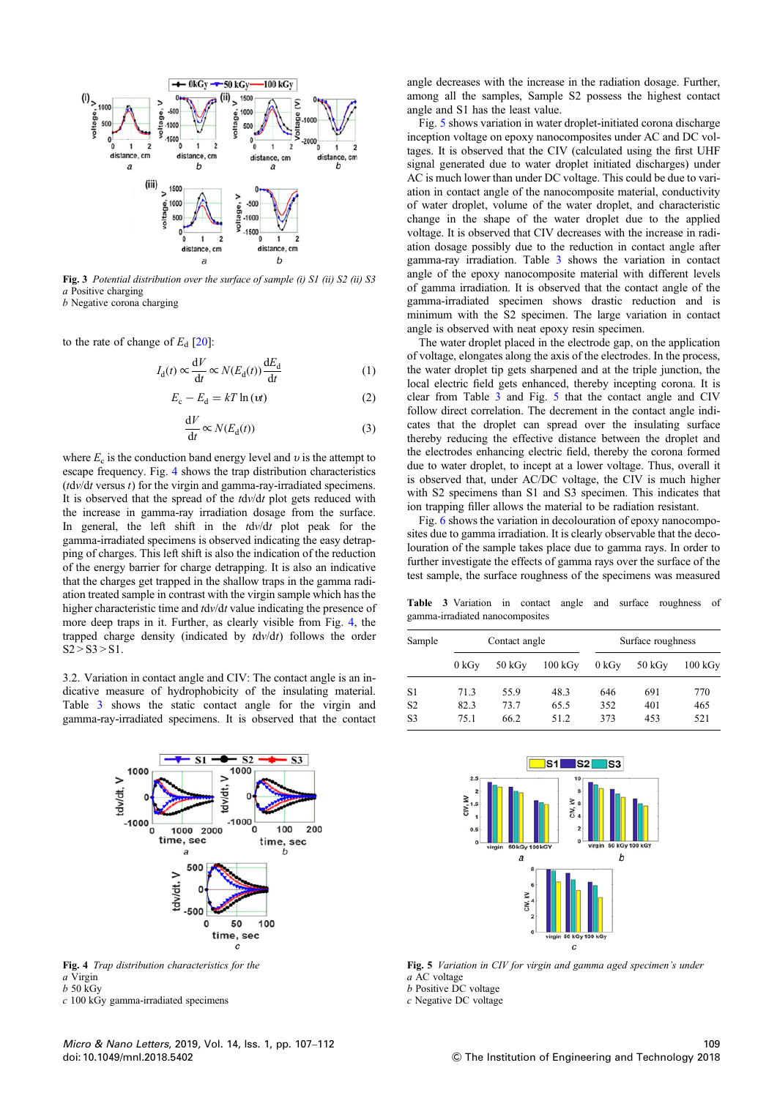

Fig. 3 *Potential distribution over the surface of sample (i) S1 (ii) S2 (ii) S3 a* Positive charging

*b* Negative corona charging

to the rate of change of  $E_d$  [20]:

$$
I_{\rm d}(t) \propto \frac{\mathrm{d}V}{\mathrm{d}t} \propto N(E_{\rm d}(t)) \frac{\mathrm{d}E_{\rm d}}{\mathrm{d}t} \tag{1}
$$

$$
E_{\rm c} - E_{\rm d} = kT \ln \left( vt \right) \tag{2}
$$

$$
\frac{\mathrm{d}V}{\mathrm{d}t} \propto N(E_{\mathrm{d}}(t))\tag{3}
$$

where  $E_c$  is the conduction band energy level and  $v$  is the attempt to escape frequency. Fig. 4 shows the trap distribution characteristics (*t*d*v*/d*t* versus *t*) for the virgin and gamma-ray-irradiated specimens. It is observed that the spread of the *t*d*v*/d*t* plot gets reduced with the increase in gamma-ray irradiation dosage from the surface. In general, the left shift in the *t*d*v*/d*t* plot peak for the gamma-irradiated specimens is observed indicating the easy detrapping of charges. This left shift is also the indication of the reduction of the energy barrier for charge detrapping. It is also an indicative that the charges get trapped in the shallow traps in the gamma radiation treated sample in contrast with the virgin sample which has the higher characteristic time and *t*d*v*/d*t* value indicating the presence of more deep traps in it. Further, as clearly visible from Fig. 4, the trapped charge density (indicated by *t*d*v*/d*t*) follows the order  $S2 > S3 > S1$ .

3.2. Variation in contact angle and CIV: The contact angle is an indicative measure of hydrophobicity of the insulating material. Table 3 shows the static contact angle for the virgin and gamma-ray-irradiated specimens. It is observed that the contact



Fig. 4 *Trap distribution characteristics for the a* Virgin *b* 50 kGy

*c* 100 kGy gamma-irradiated specimens

angle decreases with the increase in the radiation dosage. Further, among all the samples, Sample S2 possess the highest contact angle and S1 has the least value.

Fig. 5 shows variation in water droplet-initiated corona discharge inception voltage on epoxy nanocomposites under AC and DC voltages. It is observed that the CIV (calculated using the first UHF signal generated due to water droplet initiated discharges) under AC is much lower than under DC voltage. This could be due to variation in contact angle of the nanocomposite material, conductivity of water droplet, volume of the water droplet, and characteristic change in the shape of the water droplet due to the applied voltage. It is observed that CIV decreases with the increase in radiation dosage possibly due to the reduction in contact angle after gamma-ray irradiation. Table 3 shows the variation in contact angle of the epoxy nanocomposite material with different levels of gamma irradiation. It is observed that the contact angle of the gamma-irradiated specimen shows drastic reduction and is minimum with the S2 specimen. The large variation in contact angle is observed with neat epoxy resin specimen.

The water droplet placed in the electrode gap, on the application of voltage, elongates along the axis of the electrodes. In the process, the water droplet tip gets sharpened and at the triple junction, the local electric field gets enhanced, thereby incepting corona. It is clear from Table 3 and Fig. 5 that the contact angle and CIV follow direct correlation. The decrement in the contact angle indicates that the droplet can spread over the insulating surface thereby reducing the effective distance between the droplet and the electrodes enhancing electric field, thereby the corona formed due to water droplet, to incept at a lower voltage. Thus, overall it is observed that, under AC/DC voltage, the CIV is much higher with S2 specimens than S1 and S3 specimen. This indicates that ion trapping filler allows the material to be radiation resistant.

Fig. 6 shows the variation in decolouration of epoxy nanocomposites due to gamma irradiation. It is clearly observable that the decolouration of the sample takes place due to gamma rays. In order to further investigate the effects of gamma rays over the surface of the test sample, the surface roughness of the specimens was measured

Table 3 Variation in contact angle and surface roughness of gamma-irradiated nanocomposites

| Sample         | Contact angle |                  |                   | Surface roughness |                  |                   |
|----------------|---------------|------------------|-------------------|-------------------|------------------|-------------------|
|                | 0 kGv         | $50 \text{ kGy}$ | $100 \text{ kGy}$ | 0 kGv             | $50 \text{ kGy}$ | $100 \text{ kGv}$ |
| S <sub>1</sub> | 71.3          | 55.9             | 48.3              | 646               | 691              | 770               |
| S <sub>2</sub> | 82.3          | 73.7             | 65.5              | 352               | 401              | 465               |
| S <sub>3</sub> | 75.1          | 66.2             | 51.2              | 373               | 453              | 521               |



Fig. 5 *Variation in CIV for virgin and gamma aged specimen*'*s under a* AC voltage

*b* Positive DC voltage

*c* Negative DC voltage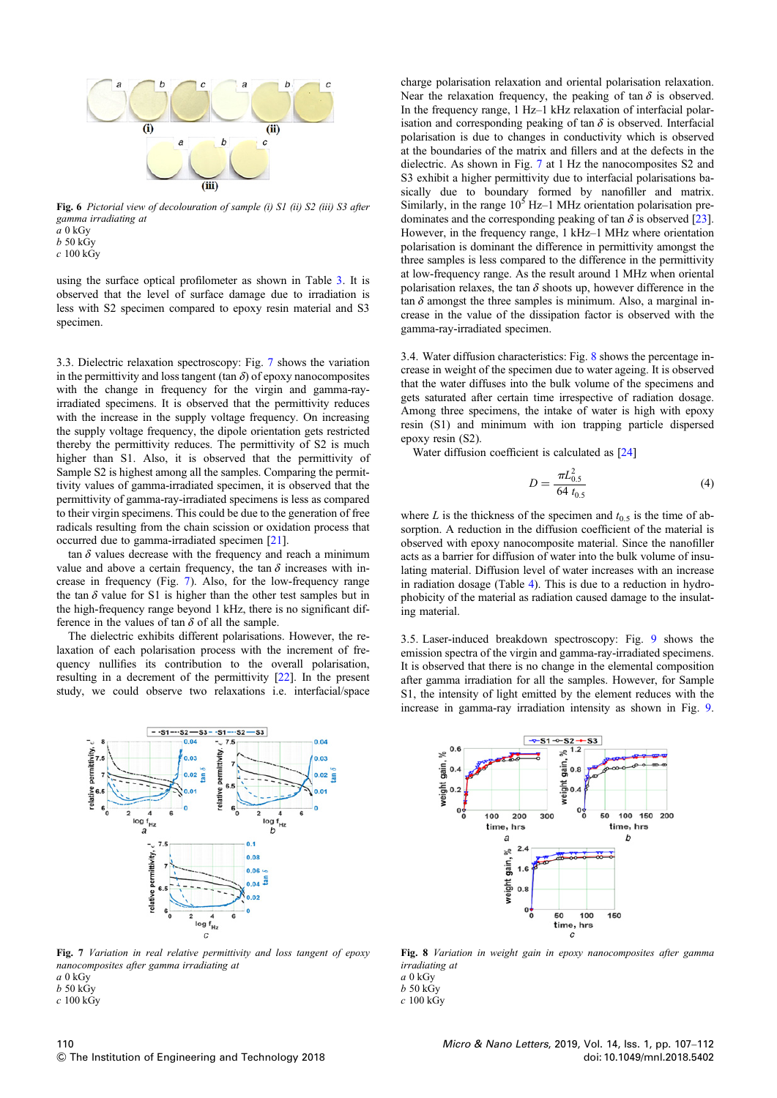

Fig. 6 *Pictorial view of decolouration of sample (i) S1 (ii) S2 (iii) S3 after gamma irradiating at a* 0 kGy

*c* 100 kGy

using the surface optical profilometer as shown in Table 3. It is observed that the level of surface damage due to irradiation is less with S2 specimen compared to epoxy resin material and S3 specimen.

3.3. Dielectric relaxation spectroscopy: Fig. 7 shows the variation in the permittivity and loss tangent (tan  $\delta$ ) of epoxy nanocomposites with the change in frequency for the virgin and gamma-rayirradiated specimens. It is observed that the permittivity reduces with the increase in the supply voltage frequency. On increasing the supply voltage frequency, the dipole orientation gets restricted thereby the permittivity reduces. The permittivity of S2 is much higher than S1. Also, it is observed that the permittivity of Sample S2 is highest among all the samples. Comparing the permittivity values of gamma-irradiated specimen, it is observed that the permittivity of gamma-ray-irradiated specimens is less as compared to their virgin specimens. This could be due to the generation of free radicals resulting from the chain scission or oxidation process that occurred due to gamma-irradiated specimen [21].

tan  $\delta$  values decrease with the frequency and reach a minimum value and above a certain frequency, the tan  $\delta$  increases with increase in frequency (Fig. 7). Also, for the low-frequency range the tan  $\delta$  value for S1 is higher than the other test samples but in the high-frequency range beyond 1 kHz, there is no significant difference in the values of tan  $\delta$  of all the sample.

The dielectric exhibits different polarisations. However, the relaxation of each polarisation process with the increment of frequency nullifies its contribution to the overall polarisation, resulting in a decrement of the permittivity [22]. In the present study, we could observe two relaxations i.e. interfacial/space



Fig. 7 *Variation in real relative permittivity and loss tangent of epoxy nanocomposites after gamma irradiating at*

*a* 0 kGy *b* 50 kGy

*c* 100 kGy

charge polarisation relaxation and oriental polarisation relaxation. Near the relaxation frequency, the peaking of tan  $\delta$  is observed. In the frequency range, 1 Hz–1 kHz relaxation of interfacial polarisation and corresponding peaking of tan  $\delta$  is observed. Interfacial polarisation is due to changes in conductivity which is observed at the boundaries of the matrix and fillers and at the defects in the dielectric. As shown in Fig. 7 at 1 Hz the nanocomposites S2 and S3 exhibit a higher permittivity due to interfacial polarisations basically due to boundary formed by nanofiller and matrix. Similarly, in the range  $10^5$  Hz–1 MHz orientation polarisation predominates and the corresponding peaking of tan  $\delta$  is observed [23]. However, in the frequency range, 1 kHz–1 MHz where orientation polarisation is dominant the difference in permittivity amongst the three samples is less compared to the difference in the permittivity at low-frequency range. As the result around 1 MHz when oriental polarisation relaxes, the tan  $\delta$  shoots up, however difference in the tan  $\delta$  amongst the three samples is minimum. Also, a marginal increase in the value of the dissipation factor is observed with the gamma-ray-irradiated specimen.

3.4. Water diffusion characteristics: Fig. 8 shows the percentage increase in weight of the specimen due to water ageing. It is observed that the water diffuses into the bulk volume of the specimens and gets saturated after certain time irrespective of radiation dosage. Among three specimens, the intake of water is high with epoxy resin (S1) and minimum with ion trapping particle dispersed epoxy resin (S2).

Water diffusion coefficient is calculated as [24]

$$
D = \frac{\pi L_{0.5}^2}{64 t_{0.5}}
$$
 (4)

where *L* is the thickness of the specimen and  $t_0$  *s* is the time of absorption. A reduction in the diffusion coefficient of the material is observed with epoxy nanocomposite material. Since the nanofiller acts as a barrier for diffusion of water into the bulk volume of insulating material. Diffusion level of water increases with an increase in radiation dosage (Table 4). This is due to a reduction in hydrophobicity of the material as radiation caused damage to the insulating material.

3.5. Laser-induced breakdown spectroscopy: Fig. 9 shows the emission spectra of the virgin and gamma-ray-irradiated specimens. It is observed that there is no change in the elemental composition after gamma irradiation for all the samples. However, for Sample S1, the intensity of light emitted by the element reduces with the increase in gamma-ray irradiation intensity as shown in Fig. 9.



Fig. 8 *Variation in weight gain in epoxy nanocomposites after gamma irradiating at*

*a* 0 kGy

*b* 50 kGy

*c* 100 kGy

*b* 50 kGy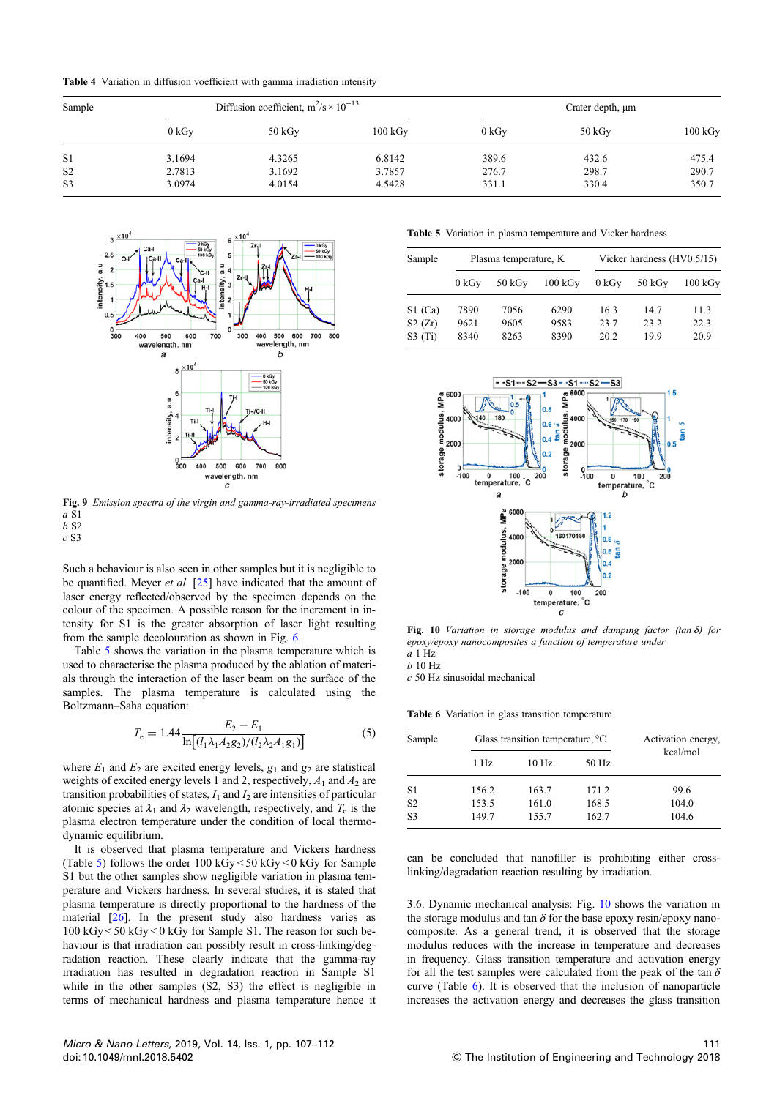Table 4 Variation in diffusion voefficient with gamma irradiation intensity

| Sample         | Diffusion coefficient, $m^2/s \times 10^{-13}$ |                  |                   | Crater depth, $\mu$ m |                  |                     |
|----------------|------------------------------------------------|------------------|-------------------|-----------------------|------------------|---------------------|
|                | 0 kGv                                          | $50 \text{ kGy}$ | $100 \text{ kGy}$ | 0 kGv                 | $50 \text{ kGy}$ | $100\ \mathrm{kGy}$ |
| S <sub>1</sub> | 3.1694                                         | 4.3265           | 6.8142            | 389.6                 | 432.6            | 475.4               |
| S <sub>2</sub> | 2.7813                                         | 3.1692           | 3.7857            | 276.7                 | 298.7            | 290.7               |
| S <sub>3</sub> | 3.0974                                         | 4.0154           | 4.5428            | 331.1                 | 330.4            | 350.7               |



Fig. 9 *Emission spectra of the virgin and gamma-ray-irradiated specimens a* S1 *b* S2

*c* S3

Such a behaviour is also seen in other samples but it is negligible to be quantified. Meyer *et al.* [25] have indicated that the amount of laser energy reflected/observed by the specimen depends on the colour of the specimen. A possible reason for the increment in intensity for S1 is the greater absorption of laser light resulting from the sample decolouration as shown in Fig. 6.

Table 5 shows the variation in the plasma temperature which is used to characterise the plasma produced by the ablation of materials through the interaction of the laser beam on the surface of the samples. The plasma temperature is calculated using the Boltzmann–Saha equation:

$$
T_{\rm e} = 1.44 \frac{E_2 - E_1}{\ln[(l_1 \lambda_1 A_2 g_2)/(l_2 \lambda_2 A_1 g_1)]}
$$
(5)

where  $E_1$  and  $E_2$  are excited energy levels,  $g_1$  and  $g_2$  are statistical weights of excited energy levels 1 and 2, respectively,  $A_1$  and  $A_2$  are transition probabilities of states,  $I_1$  and  $I_2$  are intensities of particular atomic species at  $\lambda_1$  and  $\lambda_2$  wavelength, respectively, and  $T_e$  is the plasma electron temperature under the condition of local thermodynamic equilibrium.

It is observed that plasma temperature and Vickers hardness (Table 5) follows the order 100 kGy < 50 kGy < 0 kGy for Sample S1 but the other samples show negligible variation in plasma temperature and Vickers hardness. In several studies, it is stated that plasma temperature is directly proportional to the hardness of the material [26]. In the present study also hardness varies as 100 kGy < 50 kGy < 0 kGy for Sample S1. The reason for such behaviour is that irradiation can possibly result in cross-linking/degradation reaction. These clearly indicate that the gamma-ray irradiation has resulted in degradation reaction in Sample S1 while in the other samples  $(S2, S3)$  the effect is negligible in terms of mechanical hardness and plasma temperature hence it

Table 5 Variation in plasma temperature and Vicker hardness

| Sample    | Plasma temperature, K |                  |                     | Vicker hardness (HV0.5/15) |                  |                   |
|-----------|-----------------------|------------------|---------------------|----------------------------|------------------|-------------------|
|           | 0 kGv                 | $50 \text{ kGv}$ | $100\,\mathrm{kGy}$ | 0 kGv                      | $50 \text{ kGv}$ | $100 \text{ kGv}$ |
| $S1$ (Ca) | 7890                  | 7056             | 6290                | 16.3                       | 14.7             | 11.3              |
| S2(Zr)    | 9621                  | 9605             | 9583                | 23.7                       | 23.2             | 22.3              |
| S3(Ti)    | 8340                  | 8263             | 8390                | 20.2                       | 19.9             | 20.9              |



Fig. 10 *Variation in storage modulus and damping factor (tan* δ*) for epoxy/epoxy nanocomposites a function of temperature under a* 1 Hz

*b* 10 Hz

*c* 50 Hz sinusoidal mechanical

Table 6 Variation in glass transition temperature

| Sample         |       | Glass transition temperature, $\degree$ C | Activation energy,<br>kcal/mol |       |
|----------------|-------|-------------------------------------------|--------------------------------|-------|
|                | 1 Hz  | 10 <sub>Hz</sub>                          | 50 Hz                          |       |
| S1             | 156.2 | 163.7                                     | 171.2                          | 99.6  |
| S <sub>2</sub> | 153.5 | 161.0                                     | 168.5                          | 104.0 |
| S <sub>3</sub> | 149.7 | 155.7                                     | 162.7                          | 104.6 |

can be concluded that nanofiller is prohibiting either crosslinking/degradation reaction resulting by irradiation.

3.6. Dynamic mechanical analysis: Fig. 10 shows the variation in the storage modulus and tan  $\delta$  for the base epoxy resin/epoxy nanocomposite. As a general trend, it is observed that the storage modulus reduces with the increase in temperature and decreases in frequency. Glass transition temperature and activation energy for all the test samples were calculated from the peak of the tan  $\delta$ curve (Table 6). It is observed that the inclusion of nanoparticle increases the activation energy and decreases the glass transition